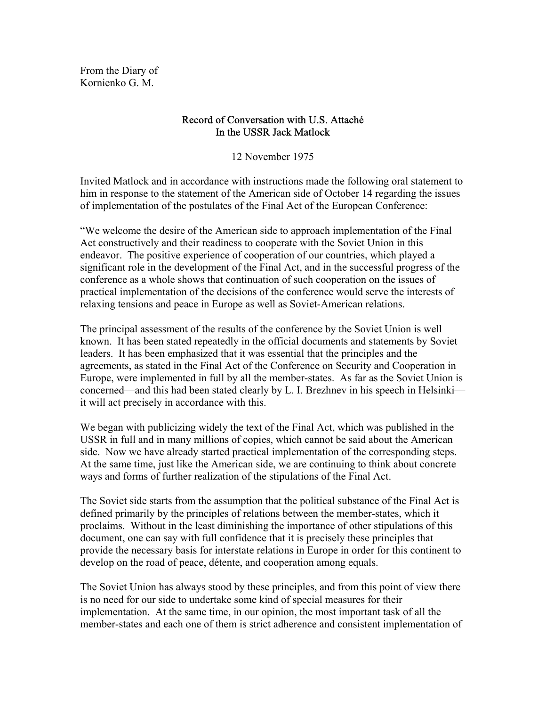From the Diary of Kornienko G. M.

## Record of Conversation with U.S. Attaché In the USSR Jack Matlock

12 November 1975

Invited Matlock and in accordance with instructions made the following oral statement to him in response to the statement of the American side of October 14 regarding the issues of implementation of the postulates of the Final Act of the European Conference:

"We welcome the desire of the American side to approach implementation of the Final Act constructively and their readiness to cooperate with the Soviet Union in this endeavor. The positive experience of cooperation of our countries, which played a significant role in the development of the Final Act, and in the successful progress of the conference as a whole shows that continuation of such cooperation on the issues of practical implementation of the decisions of the conference would serve the interests of relaxing tensions and peace in Europe as well as Soviet-American relations.

The principal assessment of the results of the conference by the Soviet Union is well known. It has been stated repeatedly in the official documents and statements by Soviet leaders. It has been emphasized that it was essential that the principles and the agreements, as stated in the Final Act of the Conference on Security and Cooperation in Europe, were implemented in full by all the member-states. As far as the Soviet Union is concerned—and this had been stated clearly by L. I. Brezhnev in his speech in Helsinki it will act precisely in accordance with this.

We began with publicizing widely the text of the Final Act, which was published in the USSR in full and in many millions of copies, which cannot be said about the American side. Now we have already started practical implementation of the corresponding steps. At the same time, just like the American side, we are continuing to think about concrete ways and forms of further realization of the stipulations of the Final Act.

The Soviet side starts from the assumption that the political substance of the Final Act is defined primarily by the principles of relations between the member-states, which it proclaims. Without in the least diminishing the importance of other stipulations of this document, one can say with full confidence that it is precisely these principles that provide the necessary basis for interstate relations in Europe in order for this continent to develop on the road of peace, détente, and cooperation among equals.

The Soviet Union has always stood by these principles, and from this point of view there is no need for our side to undertake some kind of special measures for their implementation. At the same time, in our opinion, the most important task of all the member-states and each one of them is strict adherence and consistent implementation of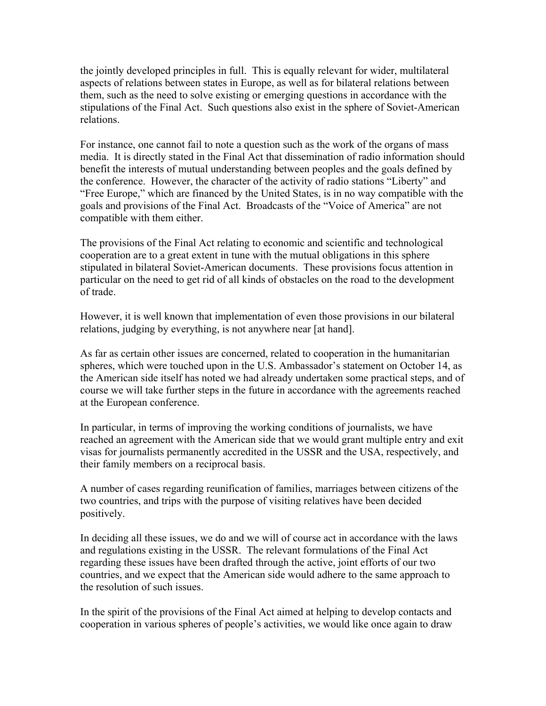the jointly developed principles in full. This is equally relevant for wider, multilateral aspects of relations between states in Europe, as well as for bilateral relations between them, such as the need to solve existing or emerging questions in accordance with the stipulations of the Final Act. Such questions also exist in the sphere of Soviet-American relations.

For instance, one cannot fail to note a question such as the work of the organs of mass media. It is directly stated in the Final Act that dissemination of radio information should benefit the interests of mutual understanding between peoples and the goals defined by the conference. However, the character of the activity of radio stations "Liberty" and "Free Europe," which are financed by the United States, is in no way compatible with the goals and provisions of the Final Act. Broadcasts of the "Voice of America" are not compatible with them either.

The provisions of the Final Act relating to economic and scientific and technological cooperation are to a great extent in tune with the mutual obligations in this sphere stipulated in bilateral Soviet-American documents. These provisions focus attention in particular on the need to get rid of all kinds of obstacles on the road to the development of trade.

However, it is well known that implementation of even those provisions in our bilateral relations, judging by everything, is not anywhere near [at hand].

As far as certain other issues are concerned, related to cooperation in the humanitarian spheres, which were touched upon in the U.S. Ambassador's statement on October 14, as the American side itself has noted we had already undertaken some practical steps, and of course we will take further steps in the future in accordance with the agreements reached at the European conference.

In particular, in terms of improving the working conditions of journalists, we have reached an agreement with the American side that we would grant multiple entry and exit visas for journalists permanently accredited in the USSR and the USA, respectively, and their family members on a reciprocal basis.

A number of cases regarding reunification of families, marriages between citizens of the two countries, and trips with the purpose of visiting relatives have been decided positively.

In deciding all these issues, we do and we will of course act in accordance with the laws and regulations existing in the USSR. The relevant formulations of the Final Act regarding these issues have been drafted through the active, joint efforts of our two countries, and we expect that the American side would adhere to the same approach to the resolution of such issues.

In the spirit of the provisions of the Final Act aimed at helping to develop contacts and cooperation in various spheres of people's activities, we would like once again to draw